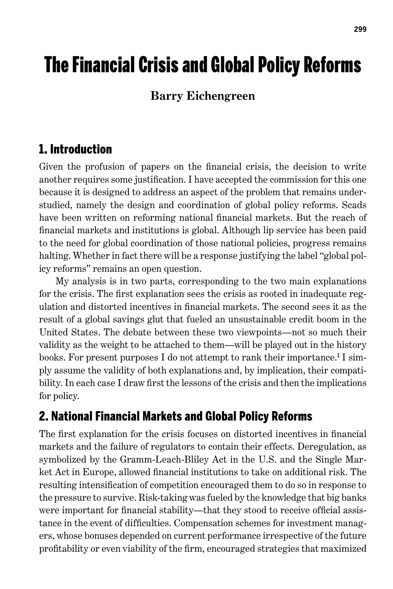# The Financial Crisis and Global Policy Reforms

## **Barry Eichengreen**

# 1. Introduction

Given the profusion of papers on the financial crisis, the decision to write another requires some justification. I have accepted the commission for this one because it is designed to address an aspect of the problem that remains understudied, namely the design and coordination of global policy reforms. Scads have been written on reforming national financial markets. But the reach of financial markets and institutions is global. Although lip service has been paid to the need for global coordination of those national policies, progress remains halting. Whether in fact there will be a response justifying the label "global policy reforms" remains an open question.

My analysis is in two parts, corresponding to the two main explanations for the crisis. The first explanation sees the crisis as rooted in inadequate regulation and distorted incentives in financial markets. The second sees it as the result of a global savings glut that fueled an unsustainable credit boom in the United States. The debate between these two viewpoints—not so much their validity as the weight to be attached to them—will be played out in the history books. For present purposes I do not attempt to rank their importance.<sup>1</sup> I simply assume the validity of both explanations and, by implication, their compatibility. In each case I draw first the lessons of the crisis and then the implications for policy.

# 2. National Financial Markets and Global Policy Reforms

The first explanation for the crisis focuses on distorted incentives in financial markets and the failure of regulators to contain their effects. Deregulation, as symbolized by the Gramm-Leach-Bliley Act in the U.S. and the Single Market Act in Europe, allowed financial institutions to take on additional risk. The resulting intensification of competition encouraged them to do so in response to the pressure to survive. Risk-taking was fueled by the knowledge that big banks were important for financial stability—that they stood to receive official assistance in the event of difficulties. Compensation schemes for investment managers, whose bonuses depended on current performance irrespective of the future profitability or even viability of the firm, encouraged strategies that maximized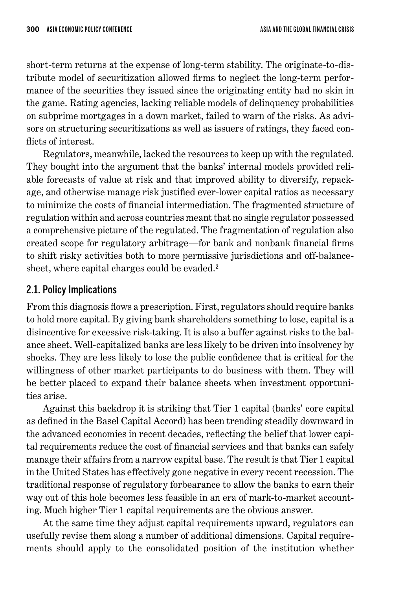short-term returns at the expense of long-term stability. The originate-to-distribute model of securitization allowed firms to neglect the long-term performance of the securities they issued since the originating entity had no skin in the game. Rating agencies, lacking reliable models of delinquency probabilities on subprime mortgages in a down market, failed to warn of the risks. As advisors on structuring securitizations as well as issuers of ratings, they faced conflicts of interest.

Regulators, meanwhile, lacked the resources to keep up with the regulated. They bought into the argument that the banks' internal models provided reliable forecasts of value at risk and that improved ability to diversify, repackage, and otherwise manage risk justified ever-lower capital ratios as necessary to minimize the costs of financial intermediation. The fragmented structure of regulation within and across countries meant that no single regulator possessed a comprehensive picture of the regulated. The fragmentation of regulation also created scope for regulatory arbitrage—for bank and nonbank financial firms to shift risky activities both to more permissive jurisdictions and off-balancesheet, where capital charges could be evaded. 2

## 2.1. Policy Implications

From this diagnosis flows a prescription. First, regulators should require banks to hold more capital. By giving bank shareholders something to lose, capital is a disincentive for excessive risk-taking. It is also a buffer against risks to the balance sheet. Well-capitalized banks are less likely to be driven into insolvency by shocks. They are less likely to lose the public confidence that is critical for the willingness of other market participants to do business with them. They will be better placed to expand their balance sheets when investment opportunities arise.

Against this backdrop it is striking that Tier 1 capital (banks' core capital as defined in the Basel Capital Accord) has been trending steadily downward in the advanced economies in recent decades, reflecting the belief that lower capital requirements reduce the cost of financial services and that banks can safely manage their affairs from a narrow capital base. The result is that Tier 1 capital in the United States has effectively gone negative in every recent recession. The traditional response of regulatory forbearance to allow the banks to earn their way out of this hole becomes less feasible in an era of mark-to-market accounting. Much higher Tier 1 capital requirements are the obvious answer.

At the same time they adjust capital requirements upward, regulators can usefully revise them along a number of additional dimensions. Capital requirements should apply to the consolidated position of the institution whether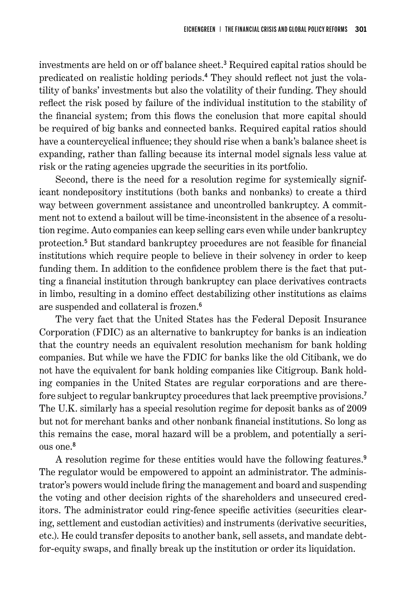investments are held on or off balance sheet. 3 Required capital ratios should be predicated on realistic holding periods. 4 They should reflect not just the volatility of banks' investments but also the volatility of their funding. They should reflect the risk posed by failure of the individual institution to the stability of the financial system; from this flows the conclusion that more capital should be required of big banks and connected banks. Required capital ratios should have a countercyclical influence; they should rise when a bank's balance sheet is expanding, rather than falling because its internal model signals less value at risk or the rating agencies upgrade the securities in its portfolio.

Second, there is the need for a resolution regime for systemically significant nondepository institutions (both banks and nonbanks) to create a third way between government assistance and uncontrolled bankruptcy. A commitment not to extend a bailout will be time-inconsistent in the absence of a resolution regime. Auto companies can keep selling cars even while under bankruptcy protection. 5 But standard bankruptcy procedures are not feasible for financial institutions which require people to believe in their solvency in order to keep funding them. In addition to the confidence problem there is the fact that putting a financial institution through bankruptcy can place derivatives contracts in limbo, resulting in a domino effect destabilizing other institutions as claims are suspended and collateral is frozen. 6

The very fact that the United States has the Federal Deposit Insurance Corporation (FDIC) as an alternative to bankruptcy for banks is an indication that the country needs an equivalent resolution mechanism for bank holding companies. But while we have the FDIC for banks like the old Citibank, we do not have the equivalent for bank holding companies like Citigroup. Bank holding companies in the United States are regular corporations and are therefore subject to regular bankruptcy procedures that lack preemptive provisions.<sup>7</sup> The U.K. similarly has a special resolution regime for deposit banks as of 2009 but not for merchant banks and other nonbank financial institutions. So long as this remains the case, moral hazard will be a problem, and potentially a serious one. 8

A resolution regime for these entities would have the following features. 9 The regulator would be empowered to appoint an administrator. The administrator's powers would include firing the management and board and suspending the voting and other decision rights of the shareholders and unsecured creditors. The administrator could ring-fence specific activities (securities clearing, settlement and custodian activities) and instruments (derivative securities, etc.). He could transfer deposits to another bank, sell assets, and mandate debtfor-equity swaps, and finally break up the institution or order its liquidation.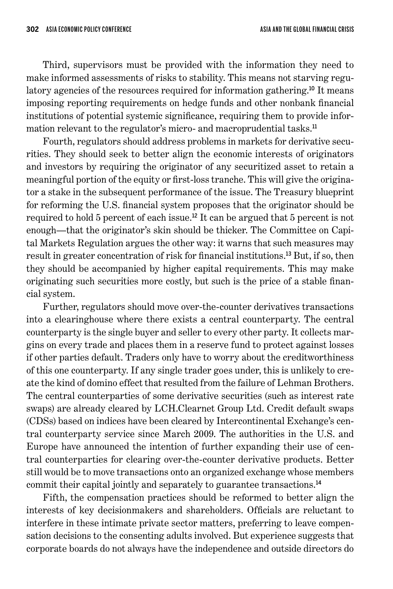Third, supervisors must be provided with the information they need to make informed assessments of risks to stability. This means not starving regulatory agencies of the resources required for information gathering.<sup>10</sup> It means imposing reporting requirements on hedge funds and other nonbank financial institutions of potential systemic significance, requiring them to provide information relevant to the regulator's micro- and macroprudential tasks.<sup>11</sup>

Fourth, regulators should address problems in markets for derivative securities. They should seek to better align the economic interests of originators and investors by requiring the originator of any securitized asset to retain a meaningful portion of the equity or first-loss tranche. This will give the originator a stake in the subsequent performance of the issue. The Treasury blueprint for reforming the U.S. financial system proposes that the originator should be required to hold 5 percent of each issue. <sup>12</sup> It can be argued that 5 percent is not enough—that the originator's skin should be thicker. The Committee on Capital Markets Regulation argues the other way: it warns that such measures may result in greater concentration of risk for financial institutions. <sup>13</sup> But, if so, then they should be accompanied by higher capital requirements. This may make originating such securities more costly, but such is the price of a stable financial system.

Further, regulators should move over-the-counter derivatives transactions into a clearinghouse where there exists a central counterparty. The central counterparty is the single buyer and seller to every other party. It collects margins on every trade and places them in a reserve fund to protect against losses if other parties default. Traders only have to worry about the creditworthiness of this one counterparty. If any single trader goes under, this is unlikely to create the kind of domino effect that resulted from the failure of Lehman Brothers. The central counterparties of some derivative securities (such as interest rate swaps) are already cleared by LCH.Clearnet Group Ltd. Credit default swaps (CDSs) based on indices have been cleared by Intercontinental Exchange's central counterparty service since March 2009. The authorities in the U.S. and Europe have announced the intention of further expanding their use of central counterparties for clearing over-the-counter derivative products. Better still would be to move transactions onto an organized exchange whose members commit their capital jointly and separately to guarantee transactions. 14

Fifth, the compensation practices should be reformed to better align the interests of key decisionmakers and shareholders. Officials are reluctant to interfere in these intimate private sector matters, preferring to leave compensation decisions to the consenting adults involved. But experience suggests that corporate boards do not always have the independence and outside directors do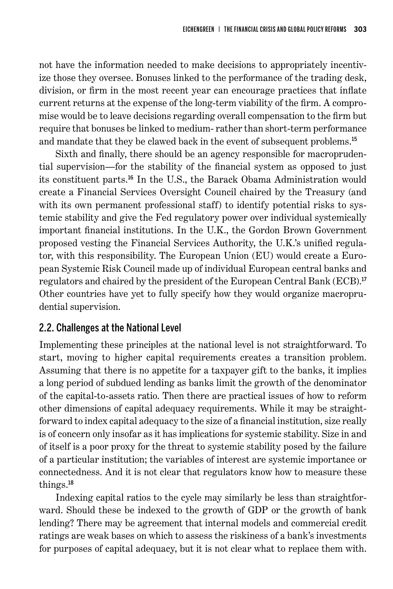not have the information needed to make decisions to appropriately incentivize those they oversee. Bonuses linked to the performance of the trading desk, division, or firm in the most recent year can encourage practices that inflate current returns at the expense of the long-term viability of the firm. A compromise would be to leave decisions regarding overall compensation to the firm but require that bonuses be linked to medium- rather than short-term performance and mandate that they be clawed back in the event of subsequent problems. 15

Sixth and finally, there should be an agency responsible for macroprudential supervision—for the stability of the financial system as opposed to just its constituent parts. <sup>16</sup> In the U.S., the Barack Obama Administration would create a Financial Services Oversight Council chaired by the Treasury (and with its own permanent professional staff) to identify potential risks to systemic stability and give the Fed regulatory power over individual systemically important financial institutions. In the U.K., the Gordon Brown Government proposed vesting the Financial Services Authority, the U.K.'s unified regulator, with this responsibility. The European Union (EU) would create a European Systemic Risk Council made up of individual European central banks and regulators and chaired by the president of the European Central Bank (ECB). 17 Other countries have yet to fully specify how they would organize macroprudential supervision.

## 2.2. Challenges at the National Level

Implementing these principles at the national level is not straightforward. To start, moving to higher capital requirements creates a transition problem. Assuming that there is no appetite for a taxpayer gift to the banks, it implies a long period of subdued lending as banks limit the growth of the denominator of the capital-to-assets ratio. Then there are practical issues of how to reform other dimensions of capital adequacy requirements. While it may be straightforward to index capital adequacy to the size of a financial institution, size really is of concern only insofar as it has implications for systemic stability. Size in and of itself is a poor proxy for the threat to systemic stability posed by the failure of a particular institution; the variables of interest are systemic importance or connectedness. And it is not clear that regulators know how to measure these things. 18

Indexing capital ratios to the cycle may similarly be less than straightforward. Should these be indexed to the growth of GDP or the growth of bank lending? There may be agreement that internal models and commercial credit ratings are weak bases on which to assess the riskiness of a bank's investments for purposes of capital adequacy, but it is not clear what to replace them with.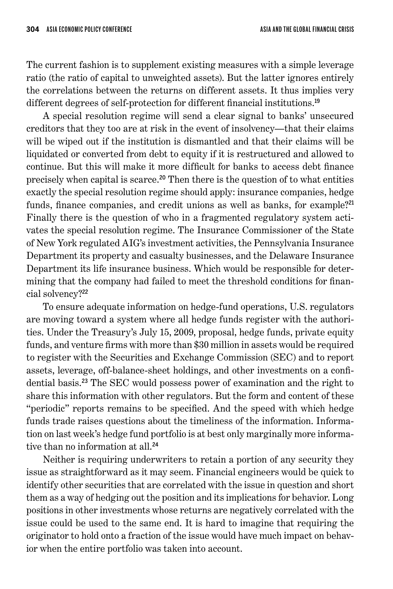The current fashion is to supplement existing measures with a simple leverage ratio (the ratio of capital to unweighted assets). But the latter ignores entirely the correlations between the returns on different assets. It thus implies very different degrees of self-protection for different financial institutions. 19

A special resolution regime will send a clear signal to banks' unsecured creditors that they too are at risk in the event of insolvency—that their claims will be wiped out if the institution is dismantled and that their claims will be liquidated or converted from debt to equity if it is restructured and allowed to continue. But this will make it more difficult for banks to access debt finance precisely when capital is scarce. <sup>20</sup> Then there is the question of to what entities exactly the special resolution regime should apply: insurance companies, hedge funds, finance companies, and credit unions as well as banks, for example?<sup>21</sup> Finally there is the question of who in a fragmented regulatory system activates the special resolution regime. The Insurance Commissioner of the State of New York regulated AIG's investment activities, the Pennsylvania Insurance Department its property and casualty businesses, and the Delaware Insurance Department its life insurance business. Which would be responsible for determining that the company had failed to meet the threshold conditions for financial solvency?<sup>22</sup>

To ensure adequate information on hedge-fund operations, U.S. regulators are moving toward a system where all hedge funds register with the authorities. Under the Treasury's July 15, 2009, proposal, hedge funds, private equity funds, and venture firms with more than \$30 million in assets would be required to register with the Securities and Exchange Commission (SEC) and to report assets, leverage, off-balance-sheet holdings, and other investments on a confidential basis. <sup>23</sup> The SEC would possess power of examination and the right to share this information with other regulators. But the form and content of these "periodic" reports remains to be specified. And the speed with which hedge funds trade raises questions about the timeliness of the information. Information on last week's hedge fund portfolio is at best only marginally more informative than no information at all. 24

Neither is requiring underwriters to retain a portion of any security they issue as straightforward as it may seem. Financial engineers would be quick to identify other securities that are correlated with the issue in question and short them as a way of hedging out the position and its implications for behavior. Long positions in other investments whose returns are negatively correlated with the issue could be used to the same end. It is hard to imagine that requiring the originator to hold onto a fraction of the issue would have much impact on behavior when the entire portfolio was taken into account.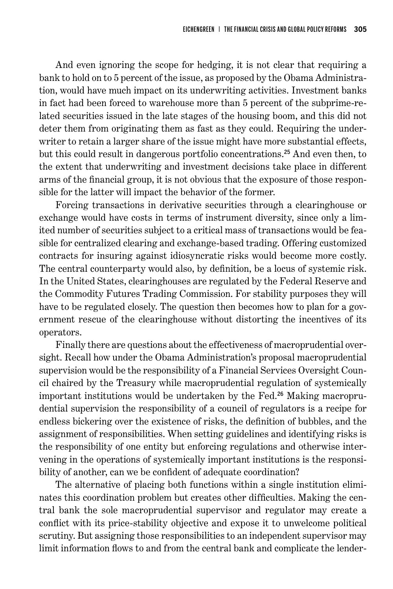And even ignoring the scope for hedging, it is not clear that requiring a bank to hold on to 5 percent of the issue, as proposed by the Obama Administration, would have much impact on its underwriting activities. Investment banks in fact had been forced to warehouse more than 5 percent of the subprime-related securities issued in the late stages of the housing boom, and this did not deter them from originating them as fast as they could. Requiring the underwriter to retain a larger share of the issue might have more substantial effects, but this could result in dangerous portfolio concentrations. <sup>25</sup> And even then, to the extent that underwriting and investment decisions take place in different arms of the financial group, it is not obvious that the exposure of those responsible for the latter will impact the behavior of the former.

Forcing transactions in derivative securities through a clearinghouse or exchange would have costs in terms of instrument diversity, since only a limited number of securities subject to a critical mass of transactions would be feasible for centralized clearing and exchange-based trading. Offering customized contracts for insuring against idiosyncratic risks would become more costly. The central counterparty would also, by definition, be a locus of systemic risk. In the United States, clearinghouses are regulated by the Federal Reserve and the Commodity Futures Trading Commission. For stability purposes they will have to be regulated closely. The question then becomes how to plan for a government rescue of the clearinghouse without distorting the incentives of its operators.

Finally there are questions about the effectiveness of macroprudential oversight. Recall how under the Obama Administration's proposal macroprudential supervision would be the responsibility of a Financial Services Oversight Council chaired by the Treasury while macroprudential regulation of systemically important institutions would be undertaken by the Fed. 26 Making macroprudential supervision the responsibility of a council of regulators is a recipe for endless bickering over the existence of risks, the definition of bubbles, and the assignment of responsibilities. When setting guidelines and identifying risks is the responsibility of one entity but enforcing regulations and otherwise intervening in the operations of systemically important institutions is the responsibility of another, can we be confident of adequate coordination?

The alternative of placing both functions within a single institution eliminates this coordination problem but creates other difficulties. Making the central bank the sole macroprudential supervisor and regulator may create a conflict with its price-stability objective and expose it to unwelcome political scrutiny. But assigning those responsibilities to an independent supervisor may limit information flows to and from the central bank and complicate the lender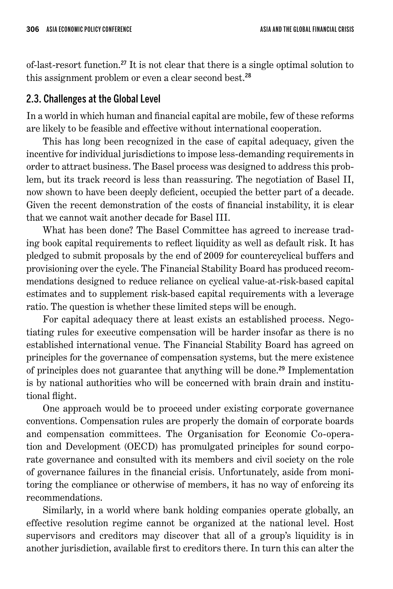of-last-resort function. <sup>27</sup> It is not clear that there is a single optimal solution to this assignment problem or even a clear second best. 28

### 2.3. Challenges at the Global Level

In a world in which human and financial capital are mobile, few of these reforms are likely to be feasible and effective without international cooperation.

This has long been recognized in the case of capital adequacy, given the incentive for individual jurisdictions to impose less-demanding requirements in order to attract business. The Basel process was designed to address this problem, but its track record is less than reassuring. The negotiation of Basel II, now shown to have been deeply deficient, occupied the better part of a decade. Given the recent demonstration of the costs of financial instability, it is clear that we cannot wait another decade for Basel III.

What has been done? The Basel Committee has agreed to increase trading book capital requirements to reflect liquidity as well as default risk. It has pledged to submit proposals by the end of 2009 for countercyclical buffers and provisioning over the cycle. The Financial Stability Board has produced recommendations designed to reduce reliance on cyclical value-at-risk-based capital estimates and to supplement risk-based capital requirements with a leverage ratio. The question is whether these limited steps will be enough.

For capital adequacy there at least exists an established process. Negotiating rules for executive compensation will be harder insofar as there is no established international venue. The Financial Stability Board has agreed on principles for the governance of compensation systems, but the mere existence of principles does not guarantee that anything will be done. <sup>29</sup> Implementation is by national authorities who will be concerned with brain drain and institutional flight.

One approach would be to proceed under existing corporate governance conventions. Compensation rules are properly the domain of corporate boards and compensation committees. The Organisation for Economic Co-operation and Development (OECD) has promulgated principles for sound corporate governance and consulted with its members and civil society on the role of governance failures in the financial crisis. Unfortunately, aside from monitoring the compliance or otherwise of members, it has no way of enforcing its recommendations.

Similarly, in a world where bank holding companies operate globally, an effective resolution regime cannot be organized at the national level. Host supervisors and creditors may discover that all of a group's liquidity is in another jurisdiction, available first to creditors there. In turn this can alter the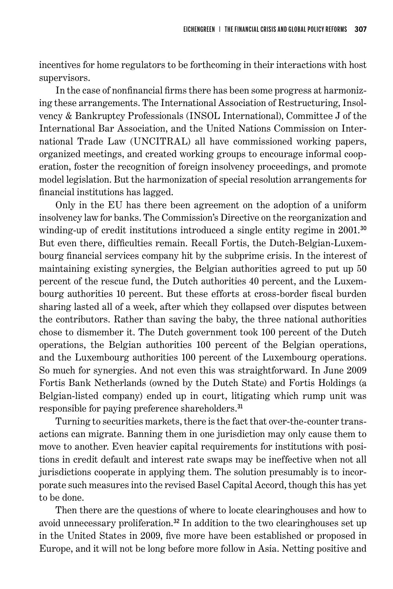incentives for home regulators to be forthcoming in their interactions with host supervisors.

In the case of nonfinancial firms there has been some progress at harmonizing these arrangements. The International Association of Restructuring, Insolvency & Bankruptcy Professionals (INSOL International), Committee J of the International Bar Association, and the United Nations Commission on International Trade Law (UNCITRAL) all have commissioned working papers, organized meetings, and created working groups to encourage informal cooperation, foster the recognition of foreign insolvency proceedings, and promote model legislation. But the harmonization of special resolution arrangements for financial institutions has lagged.

Only in the EU has there been agreement on the adoption of a uniform insolvency law for banks. The Commission's Directive on the reorganization and winding-up of credit institutions introduced a single entity regime in 2001.<sup>30</sup> But even there, difficulties remain. Recall Fortis, the Dutch-Belgian-Luxembourg financial services company hit by the subprime crisis. In the interest of maintaining existing synergies, the Belgian authorities agreed to put up 50 percent of the rescue fund, the Dutch authorities 40 percent, and the Luxembourg authorities 10 percent. But these efforts at cross-border fiscal burden sharing lasted all of a week, after which they collapsed over disputes between the contributors. Rather than saving the baby, the three national authorities chose to dismember it. The Dutch government took 100 percent of the Dutch operations, the Belgian authorities 100 percent of the Belgian operations, and the Luxembourg authorities 100 percent of the Luxembourg operations. So much for synergies. And not even this was straightforward. In June 2009 Fortis Bank Netherlands (owned by the Dutch State) and Fortis Holdings (a Belgian-listed company) ended up in court, litigating which rump unit was responsible for paying preference shareholders. 31

Turning to securities markets, there is the fact that over-the-counter transactions can migrate. Banning them in one jurisdiction may only cause them to move to another. Even heavier capital requirements for institutions with positions in credit default and interest rate swaps may be ineffective when not all jurisdictions cooperate in applying them. The solution presumably is to incorporate such measures into the revised Basel Capital Accord, though this has yet to be done.

Then there are the questions of where to locate clearinghouses and how to avoid unnecessary proliferation. <sup>32</sup> In addition to the two clearinghouses set up in the United States in 2009, five more have been established or proposed in Europe, and it will not be long before more follow in Asia. Netting positive and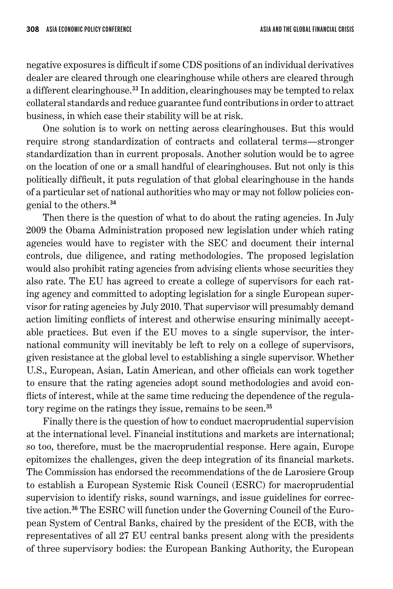negative exposures is difficult if some CDS positions of an individual derivatives dealer are cleared through one clearinghouse while others are cleared through a different clearinghouse.<sup>33</sup> In addition, clearinghouses may be tempted to relax collateral standards and reduce guarantee fund contributions in order to attract business, in which case their stability will be at risk.

One solution is to work on netting across clearinghouses. But this would require strong standardization of contracts and collateral terms—stronger standardization than in current proposals. Another solution would be to agree on the location of one or a small handful of clearinghouses. But not only is this politically difficult, it puts regulation of that global clearinghouse in the hands of a particular set of national authorities who may or may not follow policies congenial to the others. 34

Then there is the question of what to do about the rating agencies. In July 2009 the Obama Administration proposed new legislation under which rating agencies would have to register with the SEC and document their internal controls, due diligence, and rating methodologies. The proposed legislation would also prohibit rating agencies from advising clients whose securities they also rate. The EU has agreed to create a college of supervisors for each rating agency and committed to adopting legislation for a single European supervisor for rating agencies by July 2010. That supervisor will presumably demand action limiting conflicts of interest and otherwise ensuring minimally acceptable practices. But even if the EU moves to a single supervisor, the international community will inevitably be left to rely on a college of supervisors, given resistance at the global level to establishing a single supervisor. Whether U.S., European, Asian, Latin American, and other officials can work together to ensure that the rating agencies adopt sound methodologies and avoid conflicts of interest, while at the same time reducing the dependence of the regulatory regime on the ratings they issue, remains to be seen. 35

Finally there is the question of how to conduct macroprudential supervision at the international level. Financial institutions and markets are international; so too, therefore, must be the macroprudential response. Here again, Europe epitomizes the challenges, given the deep integration of its financial markets. The Commission has endorsed the recommendations of the de Larosiere Group to establish a European Systemic Risk Council (ESRC) for macroprudential supervision to identify risks, sound warnings, and issue guidelines for corrective action. 36 The ESRC will function under the Governing Council of the European System of Central Banks, chaired by the president of the ECB, with the representatives of all 27 EU central banks present along with the presidents of three supervisory bodies: the European Banking Authority, the European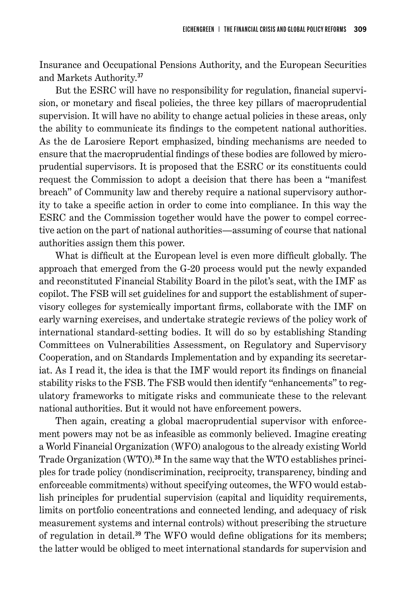Insurance and Occupational Pensions Authority, and the European Securities and Markets Authority. 37

But the ESRC will have no responsibility for regulation, financial supervision, or monetary and fiscal policies, the three key pillars of macroprudential supervision. It will have no ability to change actual policies in these areas, only the ability to communicate its findings to the competent national authorities. As the de Larosiere Report emphasized, binding mechanisms are needed to ensure that the macroprudential findings of these bodies are followed by microprudential supervisors. It is proposed that the ESRC or its constituents could request the Commission to adopt a decision that there has been a "manifest breach" of Community law and thereby require a national supervisory authority to take a specific action in order to come into compliance. In this way the ESRC and the Commission together would have the power to compel corrective action on the part of national authorities—assuming of course that national authorities assign them this power.

What is difficult at the European level is even more difficult globally. The approach that emerged from the G-20 process would put the newly expanded and reconstituted Financial Stability Board in the pilot's seat, with the IMF as copilot. The FSB will set guidelines for and support the establishment of supervisory colleges for systemically important firms, collaborate with the IMF on early warning exercises, and undertake strategic reviews of the policy work of international standard-setting bodies. It will do so by establishing Standing Committees on Vulnerabilities Assessment, on Regulatory and Supervisory Cooperation, and on Standards Implementation and by expanding its secretariat. As I read it, the idea is that the IMF would report its findings on financial stability risks to the FSB. The FSB would then identify "enhancements" to regulatory frameworks to mitigate risks and communicate these to the relevant national authorities. But it would not have enforcement powers.

Then again, creating a global macroprudential supervisor with enforcement powers may not be as infeasible as commonly believed. Imagine creating a World Financial Organization (WFO) analogous to the already existing World Trade Organization (WTO). 38 In the same way that the WTO establishes principles for trade policy (nondiscrimination, reciprocity, transparency, binding and enforceable commitments) without specifying outcomes, the WFO would establish principles for prudential supervision (capital and liquidity requirements, limits on portfolio concentrations and connected lending, and adequacy of risk measurement systems and internal controls) without prescribing the structure of regulation in detail. <sup>39</sup> The WFO would define obligations for its members; the latter would be obliged to meet international standards for supervision and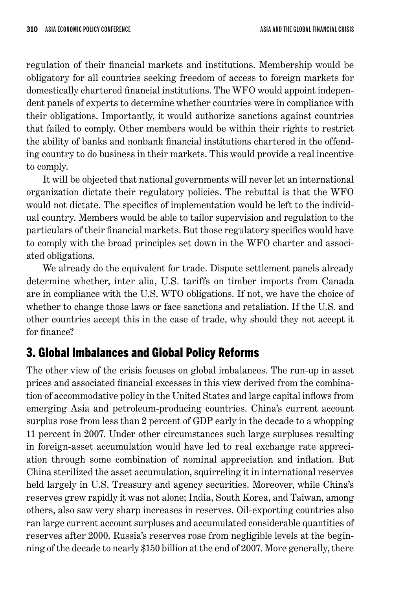regulation of their financial markets and institutions. Membership would be obligatory for all countries seeking freedom of access to foreign markets for domestically chartered financial institutions. The WFO would appoint independent panels of experts to determine whether countries were in compliance with their obligations. Importantly, it would authorize sanctions against countries that failed to comply. Other members would be within their rights to restrict the ability of banks and nonbank financial institutions chartered in the offending country to do business in their markets. This would provide a real incentive to comply.

It will be objected that national governments will never let an international organization dictate their regulatory policies. The rebuttal is that the WFO would not dictate. The specifics of implementation would be left to the individual country. Members would be able to tailor supervision and regulation to the particulars of their financial markets. But those regulatory specifics would have to comply with the broad principles set down in the WFO charter and associated obligations.

We already do the equivalent for trade. Dispute settlement panels already determine whether, inter alia, U.S. tariffs on timber imports from Canada are in compliance with the U.S. WTO obligations. If not, we have the choice of whether to change those laws or face sanctions and retaliation. If the U.S. and other countries accept this in the case of trade, why should they not accept it for finance?

## 3. Global Imbalances and Global Policy Reforms

The other view of the crisis focuses on global imbalances. The run-up in asset prices and associated financial excesses in this view derived from the combination of accommodative policy in the United States and large capital inflows from emerging Asia and petroleum-producing countries. China's current account surplus rose from less than 2 percent of GDP early in the decade to a whopping 11 percent in 2007. Under other circumstances such large surpluses resulting in foreign-asset accumulation would have led to real exchange rate appreciation through some combination of nominal appreciation and inflation. But China sterilized the asset accumulation, squirreling it in international reserves held largely in U.S. Treasury and agency securities. Moreover, while China's reserves grew rapidly it was not alone; India, South Korea, and Taiwan, among others, also saw very sharp increases in reserves. Oil-exporting countries also ran large current account surpluses and accumulated considerable quantities of reserves after 2000. Russia's reserves rose from negligible levels at the beginning of the decade to nearly \$150 billion at the end of 2007. More generally, there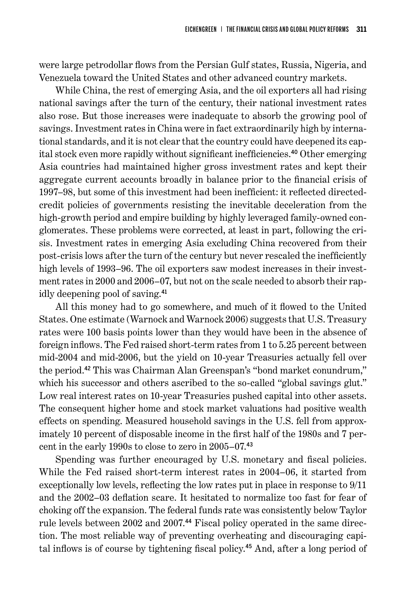were large petrodollar flows from the Persian Gulf states, Russia, Nigeria, and Venezuela toward the United States and other advanced country markets.

While China, the rest of emerging Asia, and the oil exporters all had rising national savings after the turn of the century, their national investment rates also rose. But those increases were inadequate to absorb the growing pool of savings. Investment rates in China were in fact extraordinarily high by international standards, and it is not clear that the country could have deepened its capital stock even more rapidly without significant inefficiencies. <sup>40</sup> Other emerging Asia countries had maintained higher gross investment rates and kept their aggregate current accounts broadly in balance prior to the financial crisis of 1997–98, but some of this investment had been inefficient: it reflected directedcredit policies of governments resisting the inevitable deceleration from the high-growth period and empire building by highly leveraged family-owned conglomerates. These problems were corrected, at least in part, following the crisis. Investment rates in emerging Asia excluding China recovered from their post-crisis lows after the turn of the century but never rescaled the inefficiently high levels of 1993–96. The oil exporters saw modest increases in their investment rates in 2000 and 2006–07, but not on the scale needed to absorb their rapidly deepening pool of saving. 41

All this money had to go somewhere, and much of it flowed to the United States. One estimate (Warnock and Warnock 2006) suggests that U.S. Treasury rates were 100 basis points lower than they would have been in the absence of foreign inflows. The Fed raised short-term rates from 1 to 5.25 percent between mid-2004 and mid-2006, but the yield on 10-year Treasuries actually fell over the period. <sup>42</sup> This was Chairman Alan Greenspan's "bond market conundrum," which his successor and others ascribed to the so-called "global savings glut." Low real interest rates on 10-year Treasuries pushed capital into other assets. The consequent higher home and stock market valuations had positive wealth effects on spending. Measured household savings in the U.S. fell from approximately 10 percent of disposable income in the first half of the 1980s and 7 percent in the early 1990s to close to zero in 2005–07. 43

Spending was further encouraged by U.S. monetary and fiscal policies. While the Fed raised short-term interest rates in 2004–06, it started from exceptionally low levels, reflecting the low rates put in place in response to 9/11 and the 2002–03 deflation scare. It hesitated to normalize too fast for fear of choking off the expansion. The federal funds rate was consistently below Taylor rule levels between 2002 and 2007. 44 Fiscal policy operated in the same direction. The most reliable way of preventing overheating and discouraging capital inflows is of course by tightening fiscal policy. 45 And, after a long period of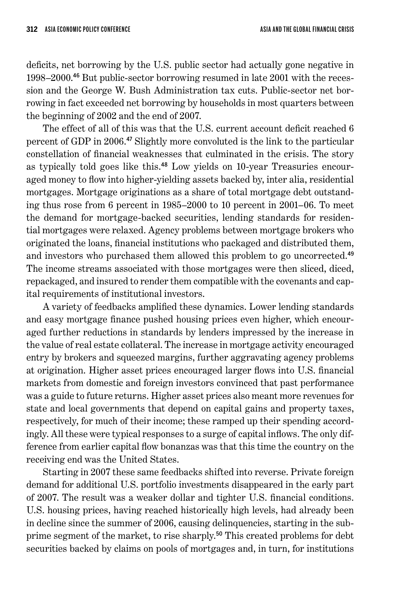deficits, net borrowing by the U.S. public sector had actually gone negative in 1998–2000. 46 But public-sector borrowing resumed in late 2001 with the recession and the George W. Bush Administration tax cuts. Public-sector net borrowing in fact exceeded net borrowing by households in most quarters between the beginning of 2002 and the end of 2007.

The effect of all of this was that the U.S. current account deficit reached 6 percent of GDP in 2006. <sup>47</sup> Slightly more convoluted is the link to the particular constellation of financial weaknesses that culminated in the crisis. The story as typically told goes like this. 48 Low yields on 10-year Treasuries encouraged money to flow into higher-yielding assets backed by, inter alia, residential mortgages. Mortgage originations as a share of total mortgage debt outstanding thus rose from 6 percent in 1985–2000 to 10 percent in 2001–06. To meet the demand for mortgage-backed securities, lending standards for residential mortgages were relaxed. Agency problems between mortgage brokers who originated the loans, financial institutions who packaged and distributed them, and investors who purchased them allowed this problem to go uncorrected. 49 The income streams associated with those mortgages were then sliced, diced, repackaged, and insured to render them compatible with the covenants and capital requirements of institutional investors.

A variety of feedbacks amplified these dynamics. Lower lending standards and easy mortgage finance pushed housing prices even higher, which encouraged further reductions in standards by lenders impressed by the increase in the value of real estate collateral. The increase in mortgage activity encouraged entry by brokers and squeezed margins, further aggravating agency problems at origination. Higher asset prices encouraged larger flows into U.S. financial markets from domestic and foreign investors convinced that past performance was a guide to future returns. Higher asset prices also meant more revenues for state and local governments that depend on capital gains and property taxes, respectively, for much of their income; these ramped up their spending accordingly. All these were typical responses to a surge of capital inflows. The only difference from earlier capital flow bonanzas was that this time the country on the receiving end was the United States.

Starting in 2007 these same feedbacks shifted into reverse. Private foreign demand for additional U.S. portfolio investments disappeared in the early part of 2007. The result was a weaker dollar and tighter U.S. financial conditions. U.S. housing prices, having reached historically high levels, had already been in decline since the summer of 2006, causing delinquencies, starting in the subprime segment of the market, to rise sharply. <sup>50</sup> This created problems for debt securities backed by claims on pools of mortgages and, in turn, for institutions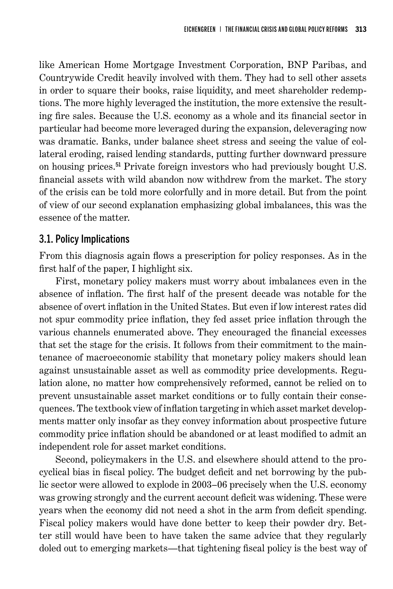like American Home Mortgage Investment Corporation, BNP Paribas, and Countrywide Credit heavily involved with them. They had to sell other assets in order to square their books, raise liquidity, and meet shareholder redemptions. The more highly leveraged the institution, the more extensive the resulting fire sales. Because the U.S. economy as a whole and its financial sector in particular had become more leveraged during the expansion, deleveraging now was dramatic. Banks, under balance sheet stress and seeing the value of collateral eroding, raised lending standards, putting further downward pressure on housing prices. <sup>51</sup> Private foreign investors who had previously bought U.S. financial assets with wild abandon now withdrew from the market. The story of the crisis can be told more colorfully and in more detail. But from the point of view of our second explanation emphasizing global imbalances, this was the essence of the matter.

#### 3.1. Policy Implications

From this diagnosis again flows a prescription for policy responses. As in the first half of the paper, I highlight six.

First, monetary policy makers must worry about imbalances even in the absence of inflation. The first half of the present decade was notable for the absence of overt inflation in the United States. But even if low interest rates did not spur commodity price inflation, they fed asset price inflation through the various channels enumerated above. They encouraged the financial excesses that set the stage for the crisis. It follows from their commitment to the maintenance of macroeconomic stability that monetary policy makers should lean against unsustainable asset as well as commodity price developments. Regulation alone, no matter how comprehensively reformed, cannot be relied on to prevent unsustainable asset market conditions or to fully contain their consequences. The textbook view of inflation targeting in which asset market developments matter only insofar as they convey information about prospective future commodity price inflation should be abandoned or at least modified to admit an independent role for asset market conditions.

Second, policymakers in the U.S. and elsewhere should attend to the procyclical bias in fiscal policy. The budget deficit and net borrowing by the public sector were allowed to explode in 2003–06 precisely when the U.S. economy was growing strongly and the current account deficit was widening. These were years when the economy did not need a shot in the arm from deficit spending. Fiscal policy makers would have done better to keep their powder dry. Better still would have been to have taken the same advice that they regularly doled out to emerging markets—that tightening fiscal policy is the best way of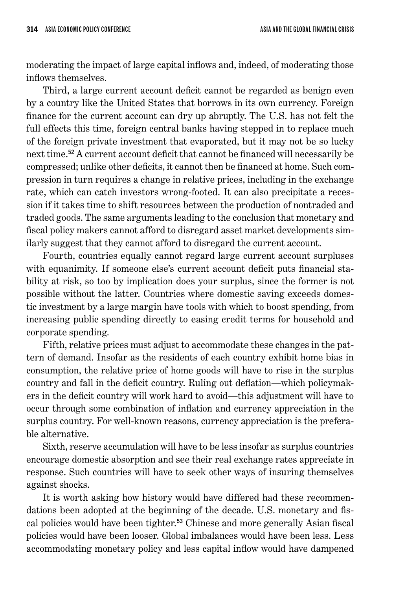moderating the impact of large capital inflows and, indeed, of moderating those inflows themselves.

Third, a large current account deficit cannot be regarded as benign even by a country like the United States that borrows in its own currency. Foreign finance for the current account can dry up abruptly. The U.S. has not felt the full effects this time, foreign central banks having stepped in to replace much of the foreign private investment that evaporated, but it may not be so lucky next time. <sup>52</sup> A current account deficit that cannot be financed will necessarily be compressed; unlike other deficits, it cannot then be financed at home. Such compression in turn requires a change in relative prices, including in the exchange rate, which can catch investors wrong-footed. It can also precipitate a recession if it takes time to shift resources between the production of nontraded and traded goods. The same arguments leading to the conclusion that monetary and fiscal policy makers cannot afford to disregard asset market developments similarly suggest that they cannot afford to disregard the current account.

Fourth, countries equally cannot regard large current account surpluses with equanimity. If someone else's current account deficit puts financial stability at risk, so too by implication does your surplus, since the former is not possible without the latter. Countries where domestic saving exceeds domestic investment by a large margin have tools with which to boost spending, from increasing public spending directly to easing credit terms for household and corporate spending.

Fifth, relative prices must adjust to accommodate these changes in the pattern of demand. Insofar as the residents of each country exhibit home bias in consumption, the relative price of home goods will have to rise in the surplus country and fall in the deficit country. Ruling out deflation—which policymakers in the deficit country will work hard to avoid—this adjustment will have to occur through some combination of inflation and currency appreciation in the surplus country. For well-known reasons, currency appreciation is the preferable alternative.

Sixth, reserve accumulation will have to be less insofar as surplus countries encourage domestic absorption and see their real exchange rates appreciate in response. Such countries will have to seek other ways of insuring themselves against shocks.

It is worth asking how history would have differed had these recommendations been adopted at the beginning of the decade. U.S. monetary and fiscal policies would have been tighter. <sup>53</sup> Chinese and more generally Asian fiscal policies would have been looser. Global imbalances would have been less. Less accommodating monetary policy and less capital inflow would have dampened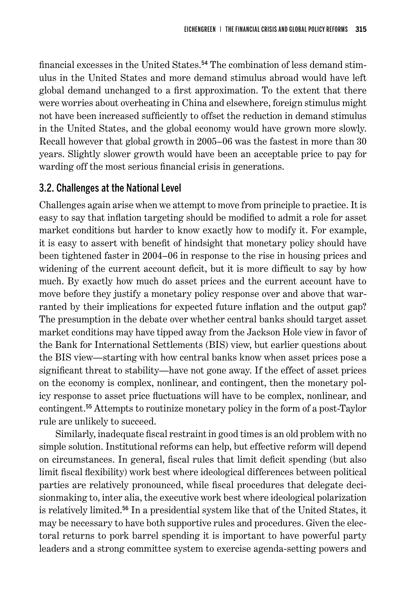financial excesses in the United States. 54 The combination of less demand stimulus in the United States and more demand stimulus abroad would have left global demand unchanged to a first approximation. To the extent that there were worries about overheating in China and elsewhere, foreign stimulus might not have been increased sufficiently to offset the reduction in demand stimulus in the United States, and the global economy would have grown more slowly. Recall however that global growth in 2005–06 was the fastest in more than 30 years. Slightly slower growth would have been an acceptable price to pay for warding off the most serious financial crisis in generations.

### 3.2. Challenges at the National Level

Challenges again arise when we attempt to move from principle to practice. It is easy to say that inflation targeting should be modified to admit a role for asset market conditions but harder to know exactly how to modify it. For example, it is easy to assert with benefit of hindsight that monetary policy should have been tightened faster in 2004–06 in response to the rise in housing prices and widening of the current account deficit, but it is more difficult to say by how much. By exactly how much do asset prices and the current account have to move before they justify a monetary policy response over and above that warranted by their implications for expected future inflation and the output gap? The presumption in the debate over whether central banks should target asset market conditions may have tipped away from the Jackson Hole view in favor of the Bank for International Settlements (BIS) view, but earlier questions about the BIS view—starting with how central banks know when asset prices pose a significant threat to stability—have not gone away. If the effect of asset prices on the economy is complex, nonlinear, and contingent, then the monetary policy response to asset price fluctuations will have to be complex, nonlinear, and contingent. <sup>55</sup> Attempts to routinize monetary policy in the form of a post-Taylor rule are unlikely to succeed.

Similarly, inadequate fiscal restraint in good times is an old problem with no simple solution. Institutional reforms can help, but effective reform will depend on circumstances. In general, fiscal rules that limit deficit spending (but also limit fiscal flexibility) work best where ideological differences between political parties are relatively pronounced, while fiscal procedures that delegate decisionmaking to, inter alia, the executive work best where ideological polarization is relatively limited. <sup>56</sup> In a presidential system like that of the United States, it may be necessary to have both supportive rules and procedures. Given the electoral returns to pork barrel spending it is important to have powerful party leaders and a strong committee system to exercise agenda-setting powers and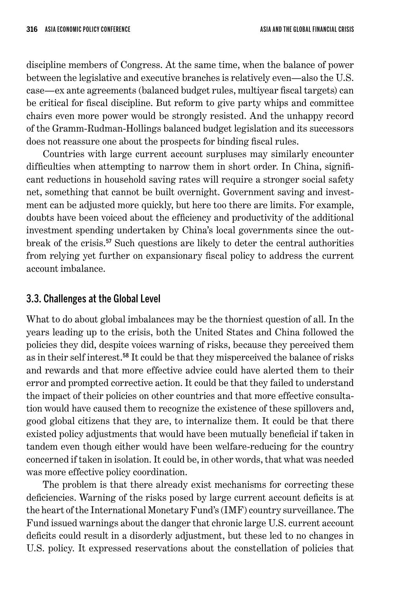discipline members of Congress. At the same time, when the balance of power between the legislative and executive branches is relatively even—also the U.S. case—ex ante agreements (balanced budget rules, multiyear fiscal targets) can be critical for fiscal discipline. But reform to give party whips and committee chairs even more power would be strongly resisted. And the unhappy record of the Gramm-Rudman-Hollings balanced budget legislation and its successors does not reassure one about the prospects for binding fiscal rules.

Countries with large current account surpluses may similarly encounter difficulties when attempting to narrow them in short order. In China, significant reductions in household saving rates will require a stronger social safety net, something that cannot be built overnight. Government saving and investment can be adjusted more quickly, but here too there are limits. For example, doubts have been voiced about the efficiency and productivity of the additional investment spending undertaken by China's local governments since the outbreak of the crisis. <sup>57</sup> Such questions are likely to deter the central authorities from relying yet further on expansionary fiscal policy to address the current account imbalance.

## 3.3. Challenges at the Global Level

What to do about global imbalances may be the thorniest question of all. In the years leading up to the crisis, both the United States and China followed the policies they did, despite voices warning of risks, because they perceived them as in their self interest. <sup>58</sup> It could be that they misperceived the balance of risks and rewards and that more effective advice could have alerted them to their error and prompted corrective action. It could be that they failed to understand the impact of their policies on other countries and that more effective consultation would have caused them to recognize the existence of these spillovers and, good global citizens that they are, to internalize them. It could be that there existed policy adjustments that would have been mutually beneficial if taken in tandem even though either would have been welfare-reducing for the country concerned if taken in isolation. It could be, in other words, that what was needed was more effective policy coordination.

The problem is that there already exist mechanisms for correcting these deficiencies. Warning of the risks posed by large current account deficits is at the heart of the International Monetary Fund's (IMF) country surveillance. The Fund issued warnings about the danger that chronic large U.S. current account deficits could result in a disorderly adjustment, but these led to no changes in U.S. policy. It expressed reservations about the constellation of policies that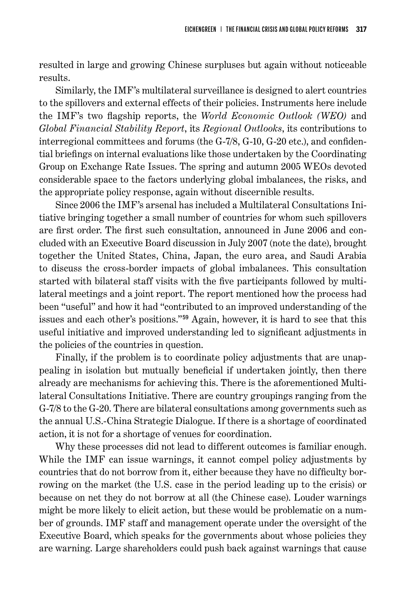resulted in large and growing Chinese surpluses but again without noticeable results.

Similarly, the IMF's multilateral surveillance is designed to alert countries to the spillovers and external effects of their policies. Instruments here include the IMF's two flagship reports, the *World Economic Outlook (WEO)* and *Global Financial Stability Report*, its *Regional Outlooks*, its contributions to interregional committees and forums (the G-7/8, G-10, G-20 etc.), and confidential briefings on internal evaluations like those undertaken by the Coordinating Group on Exchange Rate Issues. The spring and autumn 2005 WEOs devoted considerable space to the factors underlying global imbalances, the risks, and the appropriate policy response, again without discernible results.

Since 2006 the IMF's arsenal has included a Multilateral Consultations Initiative bringing together a small number of countries for whom such spillovers are first order. The first such consultation, announced in June 2006 and concluded with an Executive Board discussion in July 2007 (note the date), brought together the United States, China, Japan, the euro area, and Saudi Arabia to discuss the cross-border impacts of global imbalances. This consultation started with bilateral staff visits with the five participants followed by multilateral meetings and a joint report. The report mentioned how the process had been "useful" and how it had "contributed to an improved understanding of the issues and each other's positions."<sup>59</sup> Again, however, it is hard to see that this useful initiative and improved understanding led to significant adjustments in the policies of the countries in question.

Finally, if the problem is to coordinate policy adjustments that are unappealing in isolation but mutually beneficial if undertaken jointly, then there already are mechanisms for achieving this. There is the aforementioned Multilateral Consultations Initiative. There are country groupings ranging from the G-7/8 to the G-20. There are bilateral consultations among governments such as the annual U.S.-China Strategic Dialogue. If there is a shortage of coordinated action, it is not for a shortage of venues for coordination.

Why these processes did not lead to different outcomes is familiar enough. While the IMF can issue warnings, it cannot compel policy adjustments by countries that do not borrow from it, either because they have no difficulty borrowing on the market (the U.S. case in the period leading up to the crisis) or because on net they do not borrow at all (the Chinese case). Louder warnings might be more likely to elicit action, but these would be problematic on a number of grounds. IMF staff and management operate under the oversight of the Executive Board, which speaks for the governments about whose policies they are warning. Large shareholders could push back against warnings that cause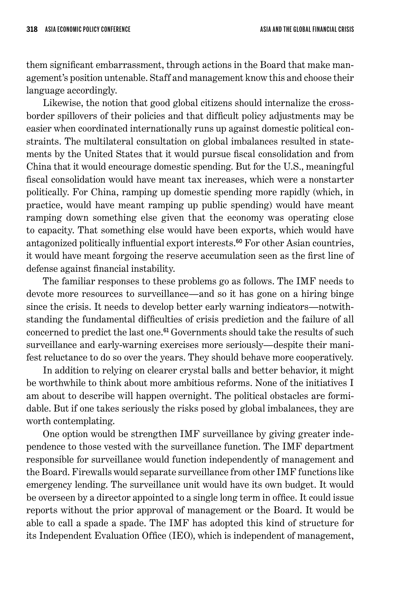them significant embarrassment, through actions in the Board that make management's position untenable. Staff and management know this and choose their language accordingly.

Likewise, the notion that good global citizens should internalize the crossborder spillovers of their policies and that difficult policy adjustments may be easier when coordinated internationally runs up against domestic political constraints. The multilateral consultation on global imbalances resulted in statements by the United States that it would pursue fiscal consolidation and from China that it would encourage domestic spending. But for the U.S., meaningful fiscal consolidation would have meant tax increases, which were a nonstarter politically. For China, ramping up domestic spending more rapidly (which, in practice, would have meant ramping up public spending) would have meant ramping down something else given that the economy was operating close to capacity. That something else would have been exports, which would have antagonized politically influential export interests. <sup>60</sup> For other Asian countries, it would have meant forgoing the reserve accumulation seen as the first line of defense against financial instability.

The familiar responses to these problems go as follows. The IMF needs to devote more resources to surveillance—and so it has gone on a hiring binge since the crisis. It needs to develop better early warning indicators—notwithstanding the fundamental difficulties of crisis prediction and the failure of all concerned to predict the last one. <sup>61</sup> Governments should take the results of such surveillance and early-warning exercises more seriously—despite their manifest reluctance to do so over the years. They should behave more cooperatively.

In addition to relying on clearer crystal balls and better behavior, it might be worthwhile to think about more ambitious reforms. None of the initiatives I am about to describe will happen overnight. The political obstacles are formidable. But if one takes seriously the risks posed by global imbalances, they are worth contemplating.

One option would be strengthen IMF surveillance by giving greater independence to those vested with the surveillance function. The IMF department responsible for surveillance would function independently of management and the Board. Firewalls would separate surveillance from other IMF functions like emergency lending. The surveillance unit would have its own budget. It would be overseen by a director appointed to a single long term in office. It could issue reports without the prior approval of management or the Board. It would be able to call a spade a spade. The IMF has adopted this kind of structure for its Independent Evaluation Office (IEO), which is independent of management,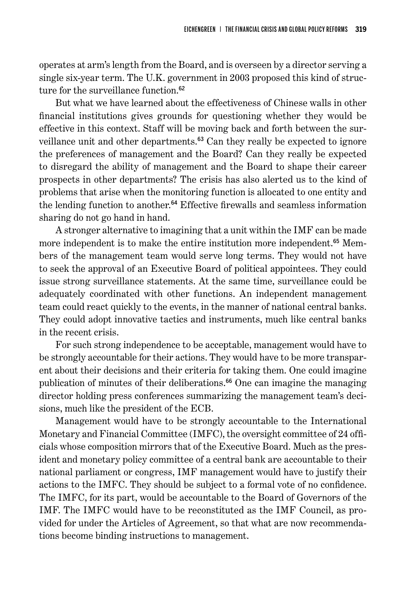operates at arm's length from the Board, and is overseen by a director serving a single six-year term. The U.K. government in 2003 proposed this kind of structure for the surveillance function.<sup>62</sup>

But what we have learned about the effectiveness of Chinese walls in other financial institutions gives grounds for questioning whether they would be effective in this context. Staff will be moving back and forth between the surveillance unit and other departments. <sup>63</sup> Can they really be expected to ignore the preferences of management and the Board? Can they really be expected to disregard the ability of management and the Board to shape their career prospects in other departments? The crisis has also alerted us to the kind of problems that arise when the monitoring function is allocated to one entity and the lending function to another. <sup>64</sup> Effective firewalls and seamless information sharing do not go hand in hand.

A stronger alternative to imagining that a unit within the IMF can be made more independent is to make the entire institution more independent.<sup>65</sup> Members of the management team would serve long terms. They would not have to seek the approval of an Executive Board of political appointees. They could issue strong surveillance statements. At the same time, surveillance could be adequately coordinated with other functions. An independent management team could react quickly to the events, in the manner of national central banks. They could adopt innovative tactics and instruments, much like central banks in the recent crisis.

For such strong independence to be acceptable, management would have to be strongly accountable for their actions. They would have to be more transparent about their decisions and their criteria for taking them. One could imagine publication of minutes of their deliberations. <sup>66</sup> One can imagine the managing director holding press conferences summarizing the management team's decisions, much like the president of the ECB.

Management would have to be strongly accountable to the International Monetary and Financial Committee (IMFC), the oversight committee of 24 officials whose composition mirrors that of the Executive Board. Much as the president and monetary policy committee of a central bank are accountable to their national parliament or congress, IMF management would have to justify their actions to the IMFC. They should be subject to a formal vote of no confidence. The IMFC, for its part, would be accountable to the Board of Governors of the IMF. The IMFC would have to be reconstituted as the IMF Council, as provided for under the Articles of Agreement, so that what are now recommendations become binding instructions to management.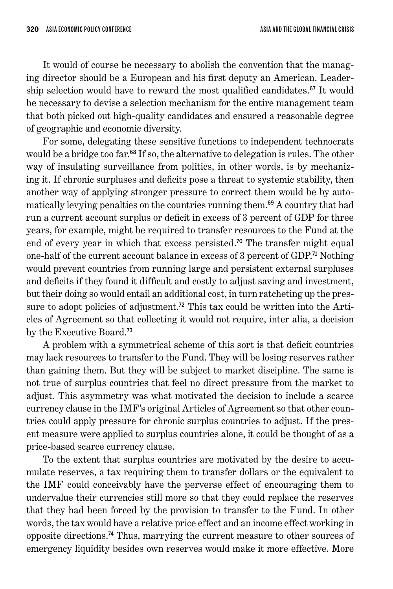It would of course be necessary to abolish the convention that the managing director should be a European and his first deputy an American. Leadership selection would have to reward the most qualified candidates. <sup>67</sup> It would be necessary to devise a selection mechanism for the entire management team that both picked out high-quality candidates and ensured a reasonable degree of geographic and economic diversity.

For some, delegating these sensitive functions to independent technocrats would be a bridge too far. <sup>68</sup> If so, the alternative to delegation is rules. The other way of insulating surveillance from politics, in other words, is by mechanizing it. If chronic surpluses and deficits pose a threat to systemic stability, then another way of applying stronger pressure to correct them would be by automatically levying penalties on the countries running them. <sup>69</sup> A country that had run a current account surplus or deficit in excess of 3 percent of GDP for three years, for example, might be required to transfer resources to the Fund at the end of every year in which that excess persisted.<sup>70</sup> The transfer might equal one-half of the current account balance in excess of 3 percent of GDP.<sup>71</sup> Nothing would prevent countries from running large and persistent external surpluses and deficits if they found it difficult and costly to adjust saving and investment, but their doing so would entail an additional cost, in turn ratcheting up the pressure to adopt policies of adjustment.<sup>72</sup> This tax could be written into the Articles of Agreement so that collecting it would not require, inter alia, a decision by the Executive Board. 73

A problem with a symmetrical scheme of this sort is that deficit countries may lack resources to transfer to the Fund. They will be losing reserves rather than gaining them. But they will be subject to market discipline. The same is not true of surplus countries that feel no direct pressure from the market to adjust. This asymmetry was what motivated the decision to include a scarce currency clause in the IMF's original Articles of Agreement so that other countries could apply pressure for chronic surplus countries to adjust. If the present measure were applied to surplus countries alone, it could be thought of as a price-based scarce currency clause.

To the extent that surplus countries are motivated by the desire to accumulate reserves, a tax requiring them to transfer dollars or the equivalent to the IMF could conceivably have the perverse effect of encouraging them to undervalue their currencies still more so that they could replace the reserves that they had been forced by the provision to transfer to the Fund. In other words, the tax would have a relative price effect and an income effect working in opposite directions. <sup>74</sup> Thus, marrying the current measure to other sources of emergency liquidity besides own reserves would make it more effective. More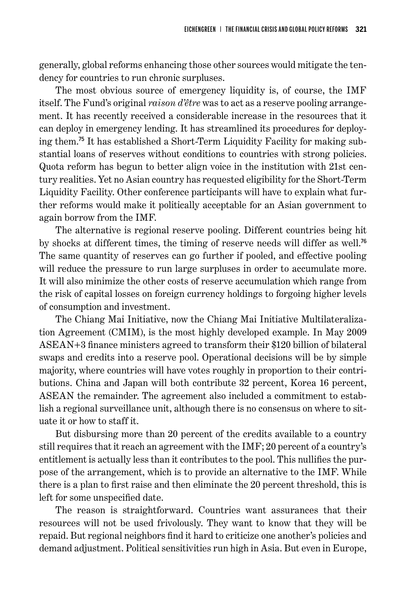generally, global reforms enhancing those other sources would mitigate the tendency for countries to run chronic surpluses.

The most obvious source of emergency liquidity is, of course, the IMF itself. The Fund's original *raison d'être* was to act as a reserve pooling arrangement. It has recently received a considerable increase in the resources that it can deploy in emergency lending. It has streamlined its procedures for deploying them. 75 It has established a Short-Term Liquidity Facility for making substantial loans of reserves without conditions to countries with strong policies. Quota reform has begun to better align voice in the institution with 21st century realities. Yet no Asian country has requested eligibility for the Short-Term Liquidity Facility. Other conference participants will have to explain what further reforms would make it politically acceptable for an Asian government to again borrow from the IMF.

The alternative is regional reserve pooling. Different countries being hit by shocks at different times, the timing of reserve needs will differ as well.<sup>76</sup> The same quantity of reserves can go further if pooled, and effective pooling will reduce the pressure to run large surpluses in order to accumulate more. It will also minimize the other costs of reserve accumulation which range from the risk of capital losses on foreign currency holdings to forgoing higher levels of consumption and investment.

The Chiang Mai Initiative, now the Chiang Mai Initiative Multilateralization Agreement (CMIM), is the most highly developed example. In May 2009 ASEAN+3 finance ministers agreed to transform their \$120 billion of bilateral swaps and credits into a reserve pool. Operational decisions will be by simple majority, where countries will have votes roughly in proportion to their contributions. China and Japan will both contribute 32 percent, Korea 16 percent, ASEAN the remainder. The agreement also included a commitment to establish a regional surveillance unit, although there is no consensus on where to situate it or how to staff it.

But disbursing more than 20 percent of the credits available to a country still requires that it reach an agreement with the IMF; 20 percent of a country's entitlement is actually less than it contributes to the pool. This nullifies the purpose of the arrangement, which is to provide an alternative to the IMF. While there is a plan to first raise and then eliminate the 20 percent threshold, this is left for some unspecified date.

The reason is straightforward. Countries want assurances that their resources will not be used frivolously. They want to know that they will be repaid. But regional neighbors find it hard to criticize one another's policies and demand adjustment. Political sensitivities run high in Asia. But even in Europe,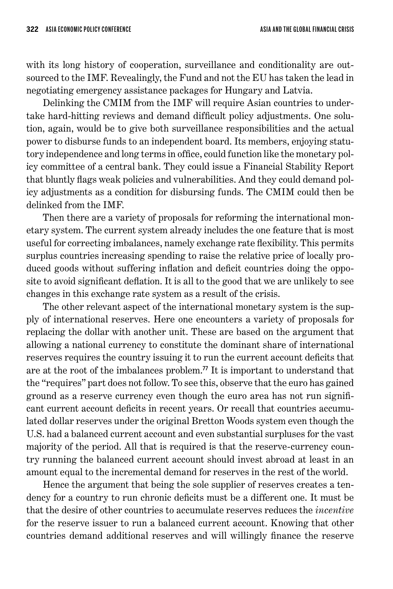with its long history of cooperation, surveillance and conditionality are outsourced to the IMF. Revealingly, the Fund and not the EU has taken the lead in negotiating emergency assistance packages for Hungary and Latvia.

Delinking the CMIM from the IMF will require Asian countries to undertake hard-hitting reviews and demand difficult policy adjustments. One solution, again, would be to give both surveillance responsibilities and the actual power to disburse funds to an independent board. Its members, enjoying statutory independence and long terms in office, could function like the monetary policy committee of a central bank. They could issue a Financial Stability Report that bluntly flags weak policies and vulnerabilities. And they could demand policy adjustments as a condition for disbursing funds. The CMIM could then be delinked from the IMF.

Then there are a variety of proposals for reforming the international monetary system. The current system already includes the one feature that is most useful for correcting imbalances, namely exchange rate flexibility. This permits surplus countries increasing spending to raise the relative price of locally produced goods without suffering inflation and deficit countries doing the opposite to avoid significant deflation. It is all to the good that we are unlikely to see changes in this exchange rate system as a result of the crisis.

The other relevant aspect of the international monetary system is the supply of international reserves. Here one encounters a variety of proposals for replacing the dollar with another unit. These are based on the argument that allowing a national currency to constitute the dominant share of international reserves requires the country issuing it to run the current account deficits that are at the root of the imbalances problem. <sup>77</sup> It is important to understand that the "requires" part does not follow. To see this, observe that the euro has gained ground as a reserve currency even though the euro area has not run significant current account deficits in recent years. Or recall that countries accumulated dollar reserves under the original Bretton Woods system even though the U.S. had a balanced current account and even substantial surpluses for the vast majority of the period. All that is required is that the reserve-currency country running the balanced current account should invest abroad at least in an amount equal to the incremental demand for reserves in the rest of the world.

Hence the argument that being the sole supplier of reserves creates a tendency for a country to run chronic deficits must be a different one. It must be that the desire of other countries to accumulate reserves reduces the *incentive* for the reserve issuer to run a balanced current account. Knowing that other countries demand additional reserves and will willingly finance the reserve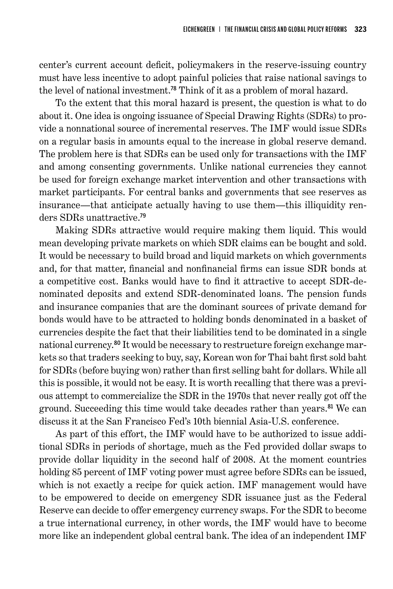center's current account deficit, policymakers in the reserve-issuing country must have less incentive to adopt painful policies that raise national savings to the level of national investment. <sup>78</sup> Think of it as a problem of moral hazard.

To the extent that this moral hazard is present, the question is what to do about it. One idea is ongoing issuance of Special Drawing Rights (SDRs) to provide a nonnational source of incremental reserves. The IMF would issue SDRs on a regular basis in amounts equal to the increase in global reserve demand. The problem here is that SDRs can be used only for transactions with the IMF and among consenting governments. Unlike national currencies they cannot be used for foreign exchange market intervention and other transactions with market participants. For central banks and governments that see reserves as insurance—that anticipate actually having to use them—this illiquidity renders SDRs unattractive. 79

Making SDRs attractive would require making them liquid. This would mean developing private markets on which SDR claims can be bought and sold. It would be necessary to build broad and liquid markets on which governments and, for that matter, financial and nonfinancial firms can issue SDR bonds at a competitive cost. Banks would have to find it attractive to accept SDR-denominated deposits and extend SDR-denominated loans. The pension funds and insurance companies that are the dominant sources of private demand for bonds would have to be attracted to holding bonds denominated in a basket of currencies despite the fact that their liabilities tend to be dominated in a single national currency. 80 It would be necessary to restructure foreign exchange markets so that traders seeking to buy, say, Korean won for Thai baht first sold baht for SDRs (before buying won) rather than first selling baht for dollars. While all this is possible, it would not be easy. It is worth recalling that there was a previous attempt to commercialize the SDR in the 1970s that never really got off the ground. Succeeding this time would take decades rather than years. <sup>81</sup> We can discuss it at the San Francisco Fed's 10th biennial Asia-U.S. conference.

As part of this effort, the IMF would have to be authorized to issue additional SDRs in periods of shortage, much as the Fed provided dollar swaps to provide dollar liquidity in the second half of 2008. At the moment countries holding 85 percent of IMF voting power must agree before SDRs can be issued, which is not exactly a recipe for quick action. IMF management would have to be empowered to decide on emergency SDR issuance just as the Federal Reserve can decide to offer emergency currency swaps. For the SDR to become a true international currency, in other words, the IMF would have to become more like an independent global central bank. The idea of an independent IMF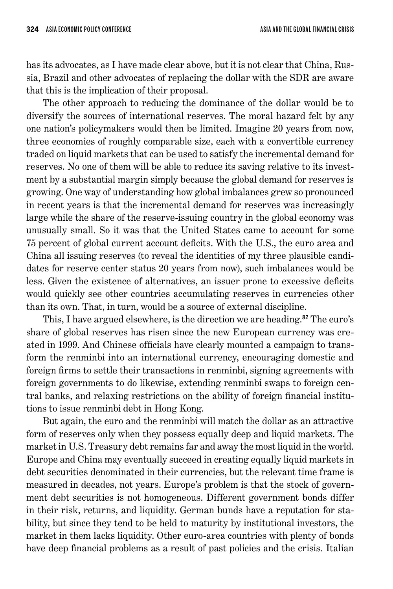has its advocates, as I have made clear above, but it is not clear that China, Russia, Brazil and other advocates of replacing the dollar with the SDR are aware that this is the implication of their proposal.

The other approach to reducing the dominance of the dollar would be to diversify the sources of international reserves. The moral hazard felt by any one nation's policymakers would then be limited. Imagine 20 years from now, three economies of roughly comparable size, each with a convertible currency traded on liquid markets that can be used to satisfy the incremental demand for reserves. No one of them will be able to reduce its saving relative to its investment by a substantial margin simply because the global demand for reserves is growing. One way of understanding how global imbalances grew so pronounced in recent years is that the incremental demand for reserves was increasingly large while the share of the reserve-issuing country in the global economy was unusually small. So it was that the United States came to account for some 75 percent of global current account deficits. With the U.S., the euro area and China all issuing reserves (to reveal the identities of my three plausible candidates for reserve center status 20 years from now), such imbalances would be less. Given the existence of alternatives, an issuer prone to excessive deficits would quickly see other countries accumulating reserves in currencies other than its own. That, in turn, would be a source of external discipline.

This, I have argued elsewhere, is the direction we are heading. <sup>82</sup> The euro's share of global reserves has risen since the new European currency was created in 1999. And Chinese officials have clearly mounted a campaign to transform the renminbi into an international currency, encouraging domestic and foreign firms to settle their transactions in renminbi, signing agreements with foreign governments to do likewise, extending renminbi swaps to foreign central banks, and relaxing restrictions on the ability of foreign financial institutions to issue renminbi debt in Hong Kong.

But again, the euro and the renminbi will match the dollar as an attractive form of reserves only when they possess equally deep and liquid markets. The market in U.S. Treasury debt remains far and away the most liquid in the world. Europe and China may eventually succeed in creating equally liquid markets in debt securities denominated in their currencies, but the relevant time frame is measured in decades, not years. Europe's problem is that the stock of government debt securities is not homogeneous. Different government bonds differ in their risk, returns, and liquidity. German bunds have a reputation for stability, but since they tend to be held to maturity by institutional investors, the market in them lacks liquidity. Other euro-area countries with plenty of bonds have deep financial problems as a result of past policies and the crisis. Italian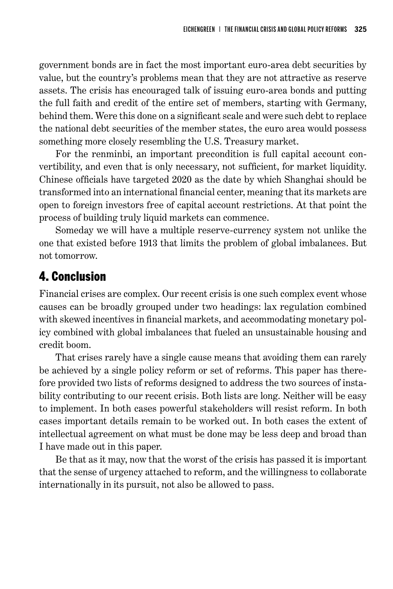government bonds are in fact the most important euro-area debt securities by value, but the country's problems mean that they are not attractive as reserve assets. The crisis has encouraged talk of issuing euro-area bonds and putting the full faith and credit of the entire set of members, starting with Germany, behind them. Were this done on a significant scale and were such debt to replace the national debt securities of the member states, the euro area would possess something more closely resembling the U.S. Treasury market.

For the renminbi, an important precondition is full capital account convertibility, and even that is only necessary, not sufficient, for market liquidity. Chinese officials have targeted 2020 as the date by which Shanghai should be transformed into an international financial center, meaning that its markets are open to foreign investors free of capital account restrictions. At that point the process of building truly liquid markets can commence.

Someday we will have a multiple reserve-currency system not unlike the one that existed before 1913 that limits the problem of global imbalances. But not tomorrow.

## 4. Conclusion

Financial crises are complex. Our recent crisis is one such complex event whose causes can be broadly grouped under two headings: lax regulation combined with skewed incentives in financial markets, and accommodating monetary policy combined with global imbalances that fueled an unsustainable housing and credit boom.

That crises rarely have a single cause means that avoiding them can rarely be achieved by a single policy reform or set of reforms. This paper has therefore provided two lists of reforms designed to address the two sources of instability contributing to our recent crisis. Both lists are long. Neither will be easy to implement. In both cases powerful stakeholders will resist reform. In both cases important details remain to be worked out. In both cases the extent of intellectual agreement on what must be done may be less deep and broad than I have made out in this paper.

Be that as it may, now that the worst of the crisis has passed it is important that the sense of urgency attached to reform, and the willingness to collaborate internationally in its pursuit, not also be allowed to pass.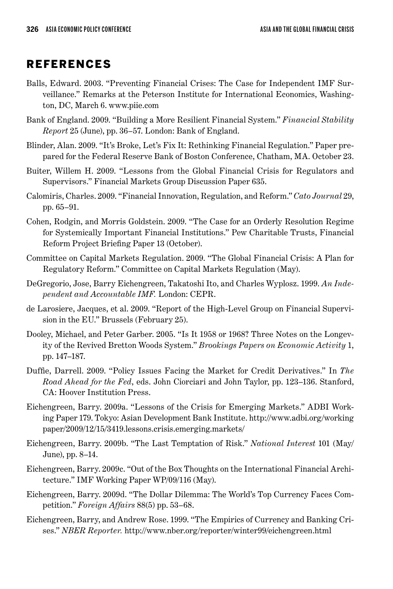## **REFERENCES**

- Balls, Edward. 2003. "Preventing Financial Crises: The Case for Independent IMF Surveillance." Remarks at the Peterson Institute for International Economics, Washington, DC, March 6. www.piie.com
- Bank of England. 2009. "Building a More Resilient Financial System." *Financial Stability Report* 25 (June), pp. 36–57. London: Bank of England.
- Blinder, Alan. 2009. "It's Broke, Let's Fix It: Rethinking Financial Regulation." Paper prepared for the Federal Reserve Bank of Boston Conference, Chatham, MA. October 23.
- Buiter, Willem H. 2009. "Lessons from the Global Financial Crisis for Regulators and Supervisors." Financial Markets Group Discussion Paper 635.
- Calomiris, Charles. 2009. "Financial Innovation, Regulation, and Reform." *Cato Journal* 29, pp. 65–91.
- Cohen, Rodgin, and Morris Goldstein. 2009. "The Case for an Orderly Resolution Regime for Systemically Important Financial Institutions." Pew Charitable Trusts, Financial Reform Project Briefing Paper 13 (October).
- Committee on Capital Markets Regulation. 2009. "The Global Financial Crisis: A Plan for Regulatory Reform." Committee on Capital Markets Regulation (May).
- DeGregorio, Jose, Barry Eichengreen, Takatoshi Ito, and Charles Wyplosz. 1999. *An Independent and Accountable IMF.* London: CEPR.
- de Larosiere, Jacques, et al. 2009. "Report of the High-Level Group on Financial Supervision in the EU." Brussels (February 25).
- Dooley, Michael, and Peter Garber. 2005. "Is It 1958 or 1968? Three Notes on the Longevity of the Revived Bretton Woods System." *Brookings Papers on Economic Activity* 1, pp. 147–187.
- Duffie, Darrell. 2009. "Policy Issues Facing the Market for Credit Derivatives." In *The Road Ahead for the Fed*, eds. John Ciorciari and John Taylor, pp. 123–136. Stanford, CA: Hoover Institution Press.
- Eichengreen, Barry. 2009a. "Lessons of the Crisis for Emerging Markets." ADBI Working Paper 179. Tokyo: Asian Development Bank Institute. http://www.adbi.org/working paper/2009/12/15/3419.lessons.crisis.emerging.markets/
- Eichengreen, Barry. 2009b. "The Last Temptation of Risk." *National Interest* 101 (May/ June), pp. 8–14.
- Eichengreen, Barry. 2009c. "Out of the Box Thoughts on the International Financial Architecture." IMF Working Paper WP/09/116 (May).
- Eichengreen, Barry. 2009d. "The Dollar Dilemma: The World's Top Currency Faces Competition." *Foreign Affairs* 88(5) pp. 53–68.
- Eichengreen, Barry, and Andrew Rose. 1999. "The Empirics of Currency and Banking Crises." *NBER Reporter.* http://www.nber.org/reporter/winter99/eichengreen.html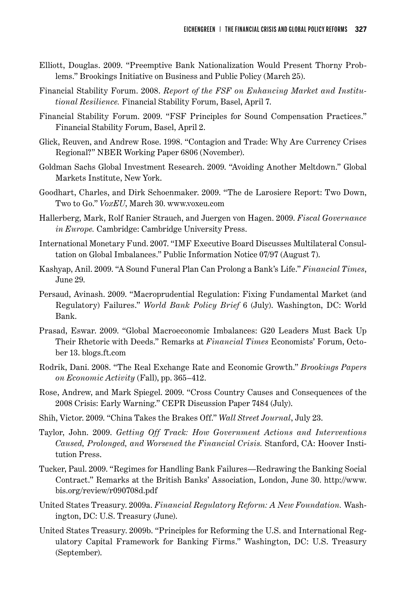- Elliott, Douglas. 2009. "Preemptive Bank Nationalization Would Present Thorny Problems." Brookings Initiative on Business and Public Policy (March 25).
- Financial Stability Forum. 2008. *Report of the FSF on Enhancing Market and Institutional Resilience.* Financial Stability Forum, Basel, April 7.
- Financial Stability Forum. 2009. "FSF Principles for Sound Compensation Practices." Financial Stability Forum, Basel, April 2.
- Glick, Reuven, and Andrew Rose. 1998. "Contagion and Trade: Why Are Currency Crises Regional?" NBER Working Paper 6806 (November).
- Goldman Sachs Global Investment Research. 2009. "Avoiding Another Meltdown." Global Markets Institute, New York.
- Goodhart, Charles, and Dirk Schoenmaker. 2009. "The de Larosiere Report: Two Down, Two to Go." *VoxEU*, March 30. www.voxeu.com
- Hallerberg, Mark, Rolf Ranier Strauch, and Juergen von Hagen. 2009. *Fiscal Governance in Europe.* Cambridge: Cambridge University Press.
- International Monetary Fund. 2007. "IMF Executive Board Discusses Multilateral Consultation on Global Imbalances." Public Information Notice 07/97 (August 7).
- Kashyap, Anil. 2009. "A Sound Funeral Plan Can Prolong a Bank's Life." *Financial Times*, June 29.
- Persaud, Avinash. 2009. "Macroprudential Regulation: Fixing Fundamental Market (and Regulatory) Failures." *World Bank Policy Brief* 6 (July). Washington, DC: World Bank.
- Prasad, Eswar. 2009. "Global Macroeconomic Imbalances: G20 Leaders Must Back Up Their Rhetoric with Deeds." Remarks at *Financial Times* Economists' Forum, October 13. blogs.ft.com
- Rodrik, Dani. 2008. "The Real Exchange Rate and Economic Growth." *Brookings Papers on Economic Activity* (Fall), pp. 365–412.
- Rose, Andrew, and Mark Spiegel. 2009. "Cross Country Causes and Consequences of the 2008 Crisis: Early Warning." CEPR Discussion Paper 7484 (July).
- Shih, Victor. 2009. "China Takes the Brakes Off." *Wall Street Journal*, July 23.
- Taylor, John. 2009. *Getting Off Track: How Government Actions and Interventions Caused, Prolonged, and Worsened the Financial Crisis.* Stanford, CA: Hoover Institution Press.
- Tucker, Paul. 2009. "Regimes for Handling Bank Failures—Redrawing the Banking Social Contract." Remarks at the British Banks' Association, London, June 30. http://www. bis.org/review/r090708d.pdf
- United States Treasury. 2009a. *Financial Regulatory Reform: A New Foundation.* Washington, DC: U.S. Treasury (June).
- United States Treasury. 2009b. "Principles for Reforming the U.S. and International Regulatory Capital Framework for Banking Firms." Washington, DC: U.S. Treasury (September).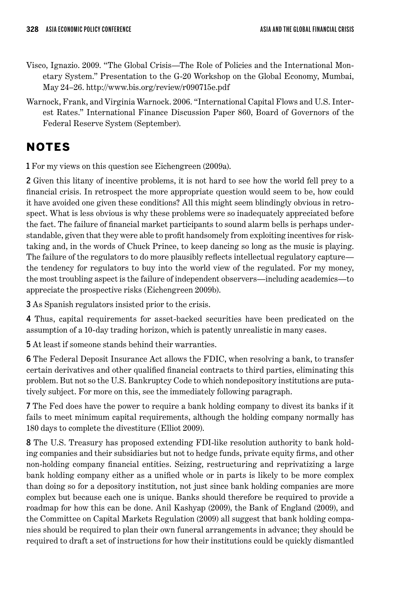- Visco, Ignazio. 2009. "The Global Crisis—The Role of Policies and the International Monetary System." Presentation to the G-20 Workshop on the Global Economy, Mumbai, May 24–26. http://www.bis.org/review/r090715e.pdf
- Warnock, Frank, and Virginia Warnock. 2006. "International Capital Flows and U.S. Interest Rates." International Finance Discussion Paper 860, Board of Governors of the Federal Reserve System (September).

## **NOTES**

1 For my views on this question see Eichengreen (2009a).

2 Given this litany of incentive problems, it is not hard to see how the world fell prey to a financial crisis. In retrospect the more appropriate question would seem to be, how could it have avoided one given these conditions? All this might seem blindingly obvious in retrospect. What is less obvious is why these problems were so inadequately appreciated before the fact. The failure of financial market participants to sound alarm bells is perhaps understandable, given that they were able to profit handsomely from exploiting incentives for risktaking and, in the words of Chuck Prince, to keep dancing so long as the music is playing. The failure of the regulators to do more plausibly reflects intellectual regulatory capture the tendency for regulators to buy into the world view of the regulated. For my money, the most troubling aspect is the failure of independent observers—including academics—to appreciate the prospective risks (Eichengreen 2009b).

3 As Spanish regulators insisted prior to the crisis.

4 Thus, capital requirements for asset-backed securities have been predicated on the assumption of a 10-day trading horizon, which is patently unrealistic in many cases.

5 At least if someone stands behind their warranties.

6 The Federal Deposit Insurance Act allows the FDIC, when resolving a bank, to transfer certain derivatives and other qualified financial contracts to third parties, eliminating this problem. But not so the U.S. Bankruptcy Code to which nondepository institutions are putatively subject. For more on this, see the immediately following paragraph.

7 The Fed does have the power to require a bank holding company to divest its banks if it fails to meet minimum capital requirements, although the holding company normally has 180 days to complete the divestiture (Elliot 2009).

8 The U.S. Treasury has proposed extending FDI-like resolution authority to bank holding companies and their subsidiaries but not to hedge funds, private equity firms, and other non-holding company financial entities. Seizing, restructuring and reprivatizing a large bank holding company either as a unified whole or in parts is likely to be more complex than doing so for a depository institution, not just since bank holding companies are more complex but because each one is unique. Banks should therefore be required to provide a roadmap for how this can be done. Anil Kashyap (2009), the Bank of England (2009), and the Committee on Capital Markets Regulation (2009) all suggest that bank holding companies should be required to plan their own funeral arrangements in advance; they should be required to draft a set of instructions for how their institutions could be quickly dismantled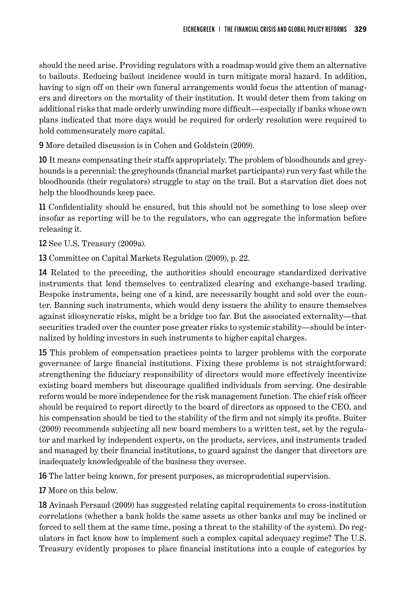should the need arise. Providing regulators with a roadmap would give them an alternative to bailouts. Reducing bailout incidence would in turn mitigate moral hazard. In addition, having to sign off on their own funeral arrangements would focus the attention of managers and directors on the mortality of their institution. It would deter them from taking on additional risks that made orderly unwinding more difficult—especially if banks whose own plans indicated that more days would be required for orderly resolution were required to hold commensurately more capital.

9 More detailed discussion is in Cohen and Goldstein (2009).

10 It means compensating their staffs appropriately. The problem of bloodhounds and greyhounds is a perennial: the greyhounds (financial market participants) run very fast while the bloodhounds (their regulators) struggle to stay on the trail. But a starvation diet does not help the bloodhounds keep pace.

11 Confidentiality should be ensured, but this should not be something to lose sleep over insofar as reporting will be to the regulators, who can aggregate the information before releasing it.

12 See U.S. Treasury (2009a).

13 Committee on Capital Markets Regulation (2009), p. 22.

14 Related to the preceding, the authorities should encourage standardized derivative instruments that lend themselves to centralized clearing and exchange-based trading. Bespoke instruments, being one of a kind, are necessarily bought and sold over the counter. Banning such instruments, which would deny issuers the ability to ensure themselves against idiosyncratic risks, might be a bridge too far. But the associated externality—that securities traded over the counter pose greater risks to systemic stability—should be internalized by holding investors in such instruments to higher capital charges.

15 This problem of compensation practices points to larger problems with the corporate governance of large financial institutions. Fixing these problems is not straightforward: strengthening the fiduciary responsibility of directors would more effectively incentivize existing board members but discourage qualified individuals from serving. One desirable reform would be more independence for the risk management function. The chief risk officer should be required to report directly to the board of directors as opposed to the CEO, and his compensation should be tied to the stability of the firm and not simply its profits. Buiter (2009) recommends subjecting all new board members to a written test, set by the regulator and marked by independent experts, on the products, services, and instruments traded and managed by their financial institutions, to guard against the danger that directors are inadequately knowledgeable of the business they oversee.

16 The latter being known, for present purposes, as microprudential supervision.

17 More on this below.

18 Avinash Persaud (2009) has suggested relating capital requirements to cross-institution correlations (whether a bank holds the same assets as other banks and may be inclined or forced to sell them at the same time, posing a threat to the stability of the system). Do regulators in fact know how to implement such a complex capital adequacy regime? The U.S. Treasury evidently proposes to place financial institutions into a couple of categories by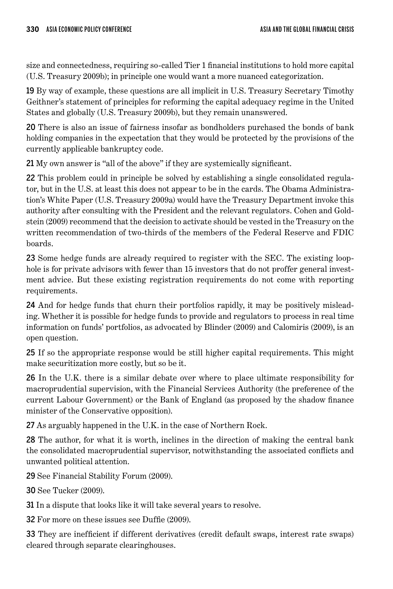size and connectedness, requiring so-called Tier 1 financial institutions to hold more capital (U.S. Treasury 2009b); in principle one would want a more nuanced categorization.

19 By way of example, these questions are all implicit in U.S. Treasury Secretary Timothy Geithner's statement of principles for reforming the capital adequacy regime in the United States and globally (U.S. Treasury 2009b), but they remain unanswered.

20 There is also an issue of fairness insofar as bondholders purchased the bonds of bank holding companies in the expectation that they would be protected by the provisions of the currently applicable bankruptcy code.

21 My own answer is "all of the above" if they are systemically significant.

22 This problem could in principle be solved by establishing a single consolidated regulator, but in the U.S. at least this does not appear to be in the cards. The Obama Administration's White Paper (U.S. Treasury 2009a) would have the Treasury Department invoke this authority after consulting with the President and the relevant regulators. Cohen and Goldstein (2009) recommend that the decision to activate should be vested in the Treasury on the written recommendation of two-thirds of the members of the Federal Reserve and FDIC boards.

23 Some hedge funds are already required to register with the SEC. The existing loophole is for private advisors with fewer than 15 investors that do not proffer general investment advice. But these existing registration requirements do not come with reporting requirements.

24 And for hedge funds that churn their portfolios rapidly, it may be positively misleading. Whether it is possible for hedge funds to provide and regulators to process in real time information on funds' portfolios, as advocated by Blinder (2009) and Calomiris (2009), is an open question.

25 If so the appropriate response would be still higher capital requirements. This might make securitization more costly, but so be it.

26 In the U.K. there is a similar debate over where to place ultimate responsibility for macroprudential supervision, with the Financial Services Authority (the preference of the current Labour Government) or the Bank of England (as proposed by the shadow finance minister of the Conservative opposition).

27 As arguably happened in the U.K. in the case of Northern Rock.

28 The author, for what it is worth, inclines in the direction of making the central bank the consolidated macroprudential supervisor, notwithstanding the associated conflicts and unwanted political attention.

29 See Financial Stability Forum (2009).

30 See Tucker (2009).

31 In a dispute that looks like it will take several years to resolve.

32 For more on these issues see Duffie (2009).

33 They are inefficient if different derivatives (credit default swaps, interest rate swaps) cleared through separate clearinghouses.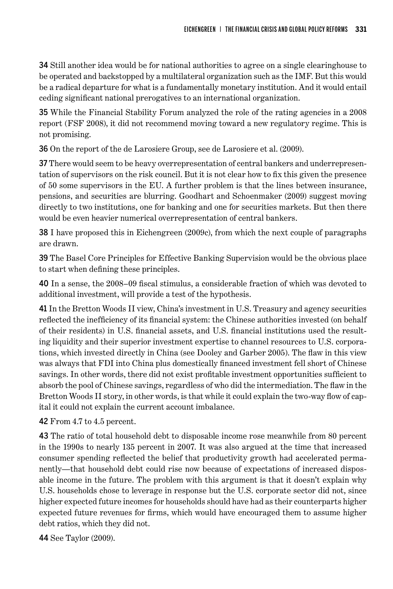34 Still another idea would be for national authorities to agree on a single clearinghouse to be operated and backstopped by a multilateral organization such as the IMF. But this would be a radical departure for what is a fundamentally monetary institution. And it would entail ceding significant national prerogatives to an international organization.

35 While the Financial Stability Forum analyzed the role of the rating agencies in a 2008 report (FSF 2008), it did not recommend moving toward a new regulatory regime. This is not promising.

36 On the report of the de Larosiere Group, see de Larosiere et al. (2009).

37 There would seem to be heavy overrepresentation of central bankers and underrepresentation of supervisors on the risk council. But it is not clear how to fix this given the presence of 50 some supervisors in the EU. A further problem is that the lines between insurance, pensions, and securities are blurring. Goodhart and Schoenmaker (2009) suggest moving directly to two institutions, one for banking and one for securities markets. But then there would be even heavier numerical overrepresentation of central bankers.

38 I have proposed this in Eichengreen (2009c), from which the next couple of paragraphs are drawn.

39 The Basel Core Principles for Effective Banking Supervision would be the obvious place to start when defining these principles.

40 In a sense, the 2008–09 fiscal stimulus, a considerable fraction of which was devoted to additional investment, will provide a test of the hypothesis.

41 In the Bretton Woods II view, China's investment in U.S. Treasury and agency securities reflected the inefficiency of its financial system: the Chinese authorities invested (on behalf of their residents) in U.S. financial assets, and U.S. financial institutions used the resulting liquidity and their superior investment expertise to channel resources to U.S. corporations, which invested directly in China (see Dooley and Garber 2005). The flaw in this view was always that FDI into China plus domestically financed investment fell short of Chinese savings. In other words, there did not exist profitable investment opportunities sufficient to absorb the pool of Chinese savings, regardless of who did the intermediation. The flaw in the Bretton Woods II story, in other words, is that while it could explain the two-way flow of capital it could not explain the current account imbalance.

42 From 4.7 to 4.5 percent.

43 The ratio of total household debt to disposable income rose meanwhile from 80 percent in the 1990s to nearly 135 percent in 2007. It was also argued at the time that increased consumer spending reflected the belief that productivity growth had accelerated permanently—that household debt could rise now because of expectations of increased disposable income in the future. The problem with this argument is that it doesn't explain why U.S. households chose to leverage in response but the U.S. corporate sector did not, since higher expected future incomes for households should have had as their counterparts higher expected future revenues for firms, which would have encouraged them to assume higher debt ratios, which they did not.

44 See Taylor (2009).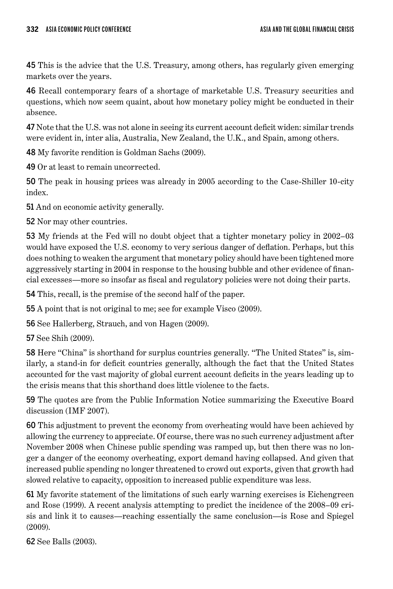45 This is the advice that the U.S. Treasury, among others, has regularly given emerging markets over the years.

46 Recall contemporary fears of a shortage of marketable U.S. Treasury securities and questions, which now seem quaint, about how monetary policy might be conducted in their absence.

47 Note that the U.S. was not alone in seeing its current account deficit widen: similar trends were evident in, inter alia, Australia, New Zealand, the U.K., and Spain, among others.

48 My favorite rendition is Goldman Sachs (2009).

49 Or at least to remain uncorrected.

50 The peak in housing prices was already in 2005 according to the Case-Shiller 10-city index.

51 And on economic activity generally.

52 Nor may other countries.

53 My friends at the Fed will no doubt object that a tighter monetary policy in 2002–03 would have exposed the U.S. economy to very serious danger of deflation. Perhaps, but this does nothing to weaken the argument that monetary policy should have been tightened more aggressively starting in 2004 in response to the housing bubble and other evidence of financial excesses—more so insofar as fiscal and regulatory policies were not doing their parts.

54 This, recall, is the premise of the second half of the paper.

55 A point that is not original to me; see for example Visco (2009).

56 See Hallerberg, Strauch, and von Hagen (2009).

57 See Shih (2009).

58 Here "China" is shorthand for surplus countries generally. "The United States" is, similarly, a stand-in for deficit countries generally, although the fact that the United States accounted for the vast majority of global current account deficits in the years leading up to the crisis means that this shorthand does little violence to the facts.

59 The quotes are from the Public Information Notice summarizing the Executive Board discussion (IMF 2007).

60 This adjustment to prevent the economy from overheating would have been achieved by allowing the currency to appreciate. Of course, there was no such currency adjustment after November 2008 when Chinese public spending was ramped up, but then there was no longer a danger of the economy overheating, export demand having collapsed. And given that increased public spending no longer threatened to crowd out exports, given that growth had slowed relative to capacity, opposition to increased public expenditure was less.

61 My favorite statement of the limitations of such early warning exercises is Eichengreen and Rose (1999). A recent analysis attempting to predict the incidence of the 2008–09 crisis and link it to causes—reaching essentially the same conclusion—is Rose and Spiegel (2009).

62 See Balls (2003).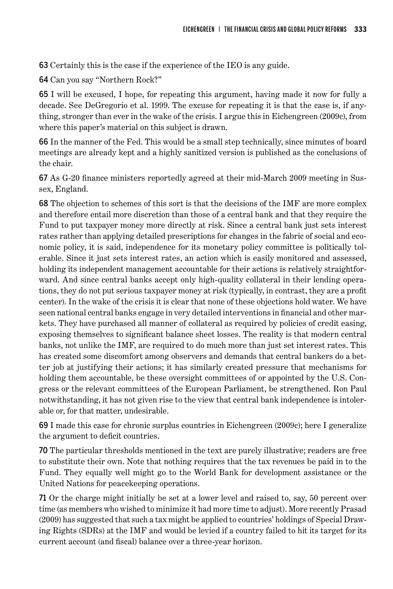63 Certainly this is the case if the experience of the IEO is any guide.

64 Can you say "Northern Rock?"

65 I will be excused, I hope, for repeating this argument, having made it now for fully a decade. See DeGregorio et al. 1999. The excuse for repeating it is that the case is, if anything, stronger than ever in the wake of the crisis. I argue this in Eichengreen (2009c), from where this paper's material on this subject is drawn.

66 In the manner of the Fed. This would be a small step technically, since minutes of board meetings are already kept and a highly sanitized version is published as the conclusions of the chair.

67 As G-20 finance ministers reportedly agreed at their mid-March 2009 meeting in Sussex, England.

68 The objection to schemes of this sort is that the decisions of the IMF are more complex and therefore entail more discretion than those of a central bank and that they require the Fund to put taxpayer money more directly at risk. Since a central bank just sets interest rates rather than applying detailed prescriptions for changes in the fabric of social and economic policy, it is said, independence for its monetary policy committee is politically tolerable. Since it just sets interest rates, an action which is easily monitored and assessed, holding its independent management accountable for their actions is relatively straightforward. And since central banks accept only high-quality collateral in their lending operations, they do not put serious taxpayer money at risk (typically, in contrast, they are a profit center). In the wake of the crisis it is clear that none of these objections hold water. We have seen national central banks engage in very detailed interventions in financial and other markets. They have purchased all manner of collateral as required by policies of credit easing, exposing themselves to significant balance sheet losses. The reality is that modern central banks, not unlike the IMF, are required to do much more than just set interest rates. This has created some discomfort among observers and demands that central bankers do a better job at justifying their actions; it has similarly created pressure that mechanisms for holding them accountable, be these oversight committees of or appointed by the U.S. Congress or the relevant committees of the European Parliament, be strengthened. Ron Paul notwithstanding, it has not given rise to the view that central bank independence is intolerable or, for that matter, undesirable.

69 I made this case for chronic surplus countries in Eichengreen (2009c); here I generalize the argument to deficit countries.

70 The particular thresholds mentioned in the text are purely illustrative; readers are free to substitute their own. Note that nothing requires that the tax revenues be paid in to the Fund. They equally well might go to the World Bank for development assistance or the United Nations for peacekeeping operations.

71 Or the charge might initially be set at a lower level and raised to, say, 50 percent over time (as members who wished to minimize it had more time to adjust). More recently Prasad (2009) has suggested that such a tax might be applied to countries' holdings of Special Drawing Rights (SDRs) at the IMF and would be levied if a country failed to hit its target for its current account (and fiscal) balance over a three-year horizon.